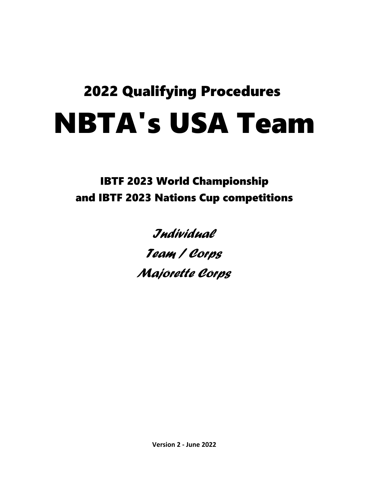# 2022 Qualifying Procedures NBTA's USA Team

IBTF 2023 World Championship and IBTF 2023 Nations Cup competitions

*Individual*

*Team / Corps*

*Majorette Corps*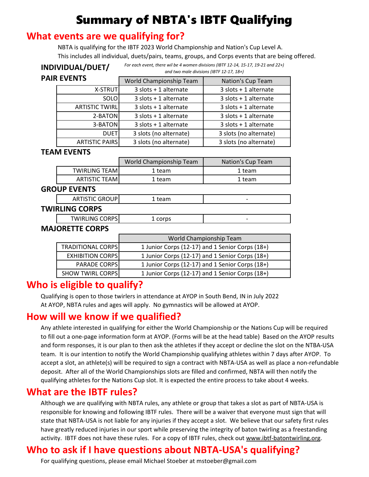## Summary of NBTA's IBTF Qualifying

#### **What events are we qualifying for?**

NBTA is qualifying for the IBTF 2023 World Championship and Nation's Cup Level A. This includes all individual, duets/pairs, teams, groups, and Corps events that are being offered.

|                    | INDIVIDUAL/DUET/         | For each event, there wil be 4 women divisions (IBTF 12-14, 15-17, 19-21 and 22+)<br>and two male divisions (IBTF 12-17, 18+) |                                                 |  |  |  |  |
|--------------------|--------------------------|-------------------------------------------------------------------------------------------------------------------------------|-------------------------------------------------|--|--|--|--|
|                    | <b>PAIR EVENTS</b>       | World Championship Team                                                                                                       | Nation's Cup Team                               |  |  |  |  |
|                    | X-STRUT                  | 3 slots + 1 alternate                                                                                                         | 3 slots + 1 alternate                           |  |  |  |  |
|                    | <b>SOLO</b>              | 3 slots + 1 alternate                                                                                                         | 3 slots + 1 alternate                           |  |  |  |  |
|                    | <b>ARTISTIC TWIRL</b>    | 3 slots + 1 alternate                                                                                                         | 3 slots + 1 alternate                           |  |  |  |  |
|                    | 2-BATON                  | $3$ slots + 1 alternate                                                                                                       | 3 slots + 1 alternate                           |  |  |  |  |
|                    | 3-BATON                  | $3$ slots + 1 alternate                                                                                                       | $3$ slots + 1 alternate                         |  |  |  |  |
|                    | <b>DUET</b>              | 3 slots (no alternate)                                                                                                        | 3 slots (no alternate)                          |  |  |  |  |
|                    | <b>ARTISTIC PAIRS</b>    | 3 slots (no alternate)                                                                                                        | 3 slots (no alternate)                          |  |  |  |  |
| <b>TEAM EVENTS</b> |                          |                                                                                                                               |                                                 |  |  |  |  |
|                    |                          | World Championship Team                                                                                                       | Nation's Cup Team                               |  |  |  |  |
|                    | <b>TWIRLING TEAM</b>     | 1 team                                                                                                                        | 1 team                                          |  |  |  |  |
|                    | <b>ARTISTIC TEAM</b>     | 1 team                                                                                                                        | 1 team                                          |  |  |  |  |
|                    | <b>GROUP EVENTS</b>      |                                                                                                                               |                                                 |  |  |  |  |
|                    | <b>ARTISTIC GROUP</b>    | 1 team                                                                                                                        |                                                 |  |  |  |  |
|                    | <b>TWIRLING CORPS</b>    |                                                                                                                               |                                                 |  |  |  |  |
|                    | <b>TWIRLING CORPS</b>    | 1 corps                                                                                                                       |                                                 |  |  |  |  |
|                    | <b>MAJORETTE CORPS</b>   |                                                                                                                               |                                                 |  |  |  |  |
|                    |                          | World Championship Team                                                                                                       |                                                 |  |  |  |  |
|                    | <b>TRADITIONAL CORPS</b> | 1 Junior Corps (12-17) and 1 Senior Corps (18+)                                                                               |                                                 |  |  |  |  |
|                    | <b>EXHIBITION CORPS</b>  |                                                                                                                               | 1 Junior Corps (12-17) and 1 Senior Corps (18+) |  |  |  |  |
|                    | <b>PARADE CORPS</b>      |                                                                                                                               | 1 Junior Corps (12-17) and 1 Senior Corps (18+) |  |  |  |  |
|                    | <b>SHOW TWIRL CORPS</b>  |                                                                                                                               | 1 Junior Corps (12-17) and 1 Senior Corps (18+) |  |  |  |  |

### **Who is eligible to qualify?**

Qualifying is open to those twirlers in attendance at AYOP in South Bend, IN in July 2022 At AYOP, NBTA rules and ages will apply. No gymnastics will be allowed at AYOP.

#### **How will we know if we qualified?**

Any athlete interested in qualifying for either the World Championship or the Nations Cup will be required to fill out a one-page information form at AYOP. (Forms will be at the head table) Based on the AYOP results and form responses, it is our plan to then ask the athletes if they accept or decline the slot on the NTBA-USA team. It is our intention to notify the World Championship qualifying athletes within 7 days after AYOP. To accept a slot, an athlete(s) will be required to sign a contract with NBTA-USA as well as place a non-refundable deposit. After all of the World Championships slots are filled and confirmed, NBTA will then notify the qualifying athletes for the Nations Cup slot. It is expected the entire process to take about 4 weeks.

#### **What are the IBTF rules?**

Although we are qualifying with NBTA rules, any athlete or group that takes a slot as part of NBTA-USA is responsible for knowing and following IBTF rules. There will be a waiver that everyone must sign that will state that NBTA-USA is not liable for any injuries if they accept a slot. We believe that our safety first rules have greatly reduced injuries in our sport while preserving the integrity of baton twirling as a freestanding activity. IBTF does not have these rules. For a copy of IBTF rules, check out www.ibtf-batontwirling.org.

## **Who to ask if I have questions about NBTA-USA's qualifying?**

For qualifying questions, please email Michael Stoeber at mstoeber@gmail.com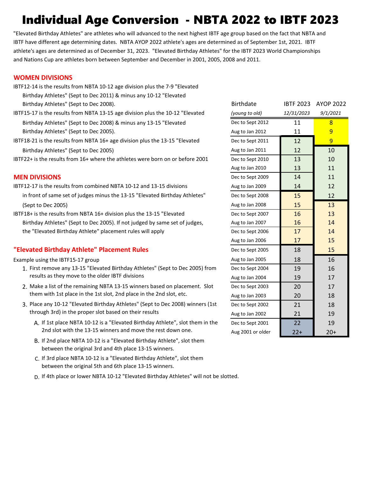## Individual Age Conversion - NBTA 2022 to IBTF 2023

"Elevated Birthday Athletes" are athletes who will advanced to the next highest IBTF age group based on the fact that NBTA and IBTF have different age determining dates. NBTA AYOP 2022 athlete's ages are determined as of September 1st, 2021. IBTF athlete's ages are determined as of December 31, 2023. "Elevated Birthday Athletes" for the IBTF 2023 World Championships and Nations Cup are athletes born between September and December in 2001, 2005, 2008 and 2011.

#### **WOMEN DIVISIONS**

- IBTF12-14 is the results from NBTA 10-12 age division plus the 7-9 "Elevated Birthday Athletes" (Sept to Dec 2011) & minus any 10-12 "Elevated Birthday Athletes" (Sept to Dec 2008).
- IBTF15-17 is the results from NBTA 13-15 age division plus the 10-12 "Elevated Birthday Athletes" (Sept to Dec 2008) & minus any 13-15 "Elevated Birthday Athletes" (Sept to Dec 2005).
- IBTF18-21 is the results from NBTA 16+ age division plus the 13-15 "Elevated Birthday Athletes" (Sept to Dec 2005)

- IBTF12-17 is the results from combined NBTA 10-12 and 13-15 divisions in front of same set of judges minus the 13-15 "Elevated Birthday Athletes" (Sept to Dec 2005)
- IBTF18+ is the results from NBTA 16+ division plus the 13-15 "Elevated Birthday Athletes" (Sept to Dec 2005). If not judged by same set of judges, the "Elevated Birthday Athlete" placement rules will apply

#### **"Elevated Birthday Athlete" Placement Rules**

- 1. First remove any 13-15 "Elevated Birthday Athletes" (Sept to Dec 2005) from Dec to Sept 2004 19 19 16 results as they move to the older IBTF divisions
- 2. Make a list of the remaining NBTA 13-15 winners based on placement. Slot Dec to Sept 2003 20 20 17 them with 1st place in the 1st slot, 2nd place in the 2nd slot, etc.
- 3. Place any 10-12 "Elevated Birthday Athletes" (Sept to Dec 2008) winners (1st  $\qquad$  Dec to Sept 2002  $\qquad$  21  $\qquad$  18 through 3rd) in the proper slot based on their results
	- A. If 1st place NBTA 10-12 is a "Elevated Birthday Athlete", slot them in the Decto Sept 2001 22 19 2nd slot with the 13-15 winners and move the rest down one.
	- B. If 2nd place NBTA 10-12 is a "Elevated Birthday Athlete", slot them between the original 3rd and 4th place 13-15 winners.
	- C. If 3rd place NBTA 10-12 is a "Elevated Birthday Athlete", slot them between the original 5th and 6th place 13-15 winners.
	- D. If 4th place or lower NBTA 10-12 "Elevated Birthday Athletes" will not be slotted.

| Birthday Athletes" (Sept to Dec 2008).                                          | <b>Birthdate</b>  | <b>IBTF 2023</b> | <b>AYOP 2022</b> |
|---------------------------------------------------------------------------------|-------------------|------------------|------------------|
| IBTF15-17 is the results from NBTA 13-15 age division plus the 10-12 "Elevated  | (young to old)    | 12/31/2023       | 9/1/2021         |
| Birthday Athletes" (Sept to Dec 2008) & minus any 13-15 "Elevated               | Dec to Sept 2012  | 11               | 8                |
| Birthday Athletes" (Sept to Dec 2005).                                          | Aug to Jan 2012   | 11               | 9                |
| IBTF18-21 is the results from NBTA 16+ age division plus the 13-15 "Elevated    | Dec to Sept 2011  | 12               | $\overline{9}$   |
| Birthday Athletes" (Sept to Dec 2005)                                           | Aug to Jan 2011   | 12               | 10               |
| IBTF22+ is the results from 16+ where the athletes were born on or before 2001  | Dec to Sept 2010  | 13               | 10               |
|                                                                                 | Aug to Jan 2010   | 13               | 11               |
| <b>MEN DIVISIONS</b>                                                            | Dec to Sept 2009  | 14               | 11               |
| IBTF12-17 is the results from combined NBTA 10-12 and 13-15 divisions           | Aug to Jan 2009   | 14               | 12               |
| in front of same set of judges minus the 13-15 "Elevated Birthday Athletes"     | Dec to Sept 2008  | 15               | 12               |
| (Sept to Dec 2005)                                                              | Aug to Jan 2008   | 15               | 13               |
| IBTF18+ is the results from NBTA 16+ division plus the 13-15 "Elevated          | Dec to Sept 2007  | 16               | 13               |
| Birthday Athletes" (Sept to Dec 2005). If not judged by same set of judges,     | Aug to Jan 2007   | 16               | 14               |
| the "Elevated Birthday Athlete" placement rules will apply                      | Dec to Sept 2006  | 17               | 14               |
|                                                                                 | Aug to Jan 2006   | 17               | 15               |
| "Elevated Birthday Athlete" Placement Rules                                     | Dec to Sept 2005  | 18               | 15               |
| Example using the IBTF15-17 group                                               | Aug to Jan 2005   | 18               | 16               |
| 1. First remove any 13-15 "Elevated Birthday Athletes" (Sept to Dec 2005) from  | Dec to Sept 2004  | 19               | 16               |
| results as they move to the older IBTF divisions                                | Aug to Jan 2004   | 19               | 17               |
| 2. Make a list of the remaining NBTA 13-15 winners based on placement. Slot     | Dec to Sept 2003  | 20               | 17               |
| them with 1st place in the 1st slot, 2nd place in the 2nd slot, etc.            | Aug to Jan 2003   | 20               | 18               |
| 3. Place any 10-12 "Elevated Birthday Athletes" (Sept to Dec 2008) winners (1st | Dec to Sept 2002  | 21               | 18               |
| through 3rd) in the proper slot based on their results                          | Aug to Jan 2002   | 21               | 19               |
| A. If 1st place NBTA 10-12 is a "Elevated Birthday Athlete", slot them in the   | Dec to Sept 2001  | 22               | 19               |
| 2nd slot with the 13-15 winners and move the rest down one.                     | Aug 2001 or older | $22+$            | $20+$            |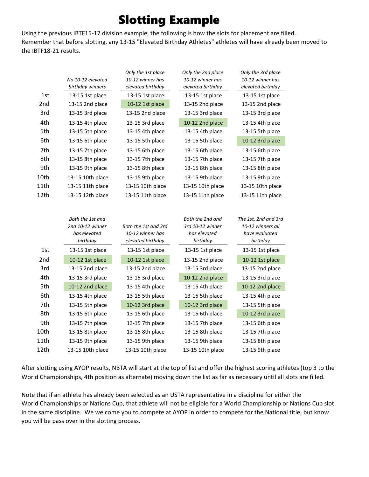## Slotting Example

Using the previous IBTF15-17 division example, the following is how the slots for placement are filled. Remember that before slotting, any 13-15 "Elevated Birthday Athletes" athletes will have already been moved to the IBTF18-21 results.

|      | No 10-12 elevated<br>birthday winners | Only the 1st place<br>10-12 winner has<br>elevated birthday | Only the 2nd place<br>10-12 winner has<br>elevated birthday | Only the 3rd place<br>10-12 winner has<br>elevated birthday |
|------|---------------------------------------|-------------------------------------------------------------|-------------------------------------------------------------|-------------------------------------------------------------|
| 1st  | 13-15 1st place                       | 13-15 1st place                                             | 13-15 1st place                                             | 13-15 1st place                                             |
| 2nd  | 13-15 2nd place                       | 10-12 1st place                                             | 13-15 2nd place                                             | 13-15 2nd place                                             |
| 3rd  | 13-15 3rd place                       | 13-15 2nd place                                             | 13-15 3rd place                                             | 13-15 3rd place                                             |
| 4th  | 13-15 4th place                       | 13-15 3rd place                                             | 10-12 2nd place                                             | 13-15 4th place                                             |
| 5th  | 13-15 5th place                       | 13-15 4th place                                             | 13-15 4th place                                             | 13-15 5th place                                             |
| 6th  | 13-15 6th place                       | 13-15 5th place                                             | 13-15 5th place                                             | 10-12 3rd place                                             |
| 7th  | 13-15 7th place                       | 13-15 6th place                                             | 13-15 6th place                                             | 13-15 6th place                                             |
| 8th  | 13-15 8th place                       | 13-15 7th place                                             | 13-15 7th place                                             | 13-15 7th place                                             |
| 9th  | 13-15 9th place                       | 13-15 8th place                                             | 13-15 8th place                                             | 13-15 8th place                                             |
| 10th | 13-15 10th place                      | 13-15 9th place                                             | 13-15 9th place                                             | 13-15 9th place                                             |
| 11th | 13-15 11th place                      | 13-15 10th place                                            | 13-15 10th place                                            | 13-15 10th place                                            |
| 12th | 13-15 12th place                      | 13-15 11th place                                            | 13-15 11th place                                            | 13-15 11th place                                            |
|      | Both the 1st and                      |                                                             | Both the 2nd and                                            | The 1st, 2nd and 3rd                                        |
|      | 2nd 10-12 winner                      | Both the 1st and 3rd                                        | 3rd 10-12 winner                                            | 10-12 winners all                                           |
|      | has elevated                          | 10-12 winner has                                            | has elevated                                                | have evaluated                                              |
|      | birthday                              | elevated birthday                                           | birthday                                                    | birthday                                                    |

|                 | nas elevatea<br>birthday | TU-TZ WINNPE NAS<br>elevated birthday | nas elevatea<br>birthday | nave evaluatea<br>birthday |
|-----------------|--------------------------|---------------------------------------|--------------------------|----------------------------|
| 1st             | 13-15 1st place          | 13-15 1st place                       | 13-15 1st place          | 13-15 1st place            |
| 2 <sub>nd</sub> | 10-12 1st place          | 10-12 1st place                       | 13-15 2nd place          | 10-12 1st place            |
| 3rd             | 13-15 2nd place          | 13-15 2nd place                       | 13-15 3rd place          | 13-15 2nd place            |
| 4th             | 13-15 3rd place          | 13-15 3rd place                       | 10-12 2nd place          | 13-15 3rd place            |
| 5th             | 10-12 2nd place          | 13-15 4th place                       | 13-15 4th place          | 10-12 2nd place            |
| 6th             | 13-15 4th place          | 13-15 5th place                       | 13-15 5th place          | 13-15 4th place            |
| 7th             | 13-15 5th place          | 10-12 3rd place                       | 10-12 3rd place          | 13-15 5th place            |
| 8th             | 13-15 6th place          | 13-15 6th place                       | 13-15 6th place          | 10-12 3rd place            |
| 9th             | 13-15 7th place          | 13-15 7th place                       | 13-15 7th place          | 13-15 6th place            |
| 10th            | 13-15 8th place          | 13-15 8th place                       | 13-15 8th place          | 13-15 7th place            |
| 11th            | 13-15 9th place          | 13-15 9th place                       | 13-15 9th place          | 13-15 8th place            |
| 12th            | 13-15 10th place         | 13-15 10th place                      | 13-15 10th place         | 13-15 9th place            |

After slotting using AYOP results, NBTA will start at the top of list and offer the highest scoring athletes (top 3 to the World Championships, 4th position as alternate) moving down the list as far as necessary until all slots are filled.

Note that if an athlete has already been selected as an USTA representative in a discipline for either the World Championships or Nations Cup, that athlete will not be eligible for a World Championship or Nations Cup slot in the same discipline. We welcome you to compete at AYOP in order to compete for the National title, but know you will be pass over in the slotting process.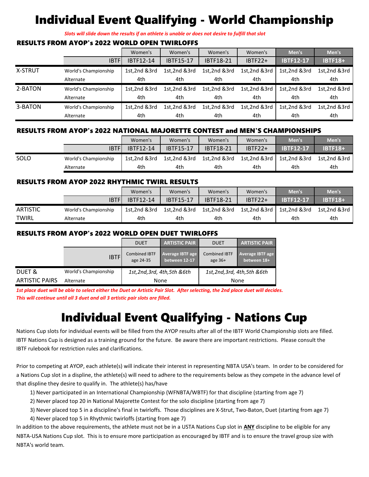## Individual Event Qualifying - World Championship

*Slots will slide down the results if an athlete is unable or does not desire to fulfill that slot*

#### RESULTS FROM AYOP's 2022 WORLD OPEN TWIRLOFFS

|                |                      | Women's      | Women's          | Women's          | Women's      | Men's            | Men's          |
|----------------|----------------------|--------------|------------------|------------------|--------------|------------------|----------------|
|                | <b>IBTF</b>          | IBTF12-14    | <b>IBTF15-17</b> | <b>IBTF18-21</b> | $IBTF22+$    | <b>IBTF12-17</b> | <b>IBTF18+</b> |
| <b>X-STRUT</b> | World's Championship | 1st,2nd &3rd | 1st.2nd &3rd     | 1st,2nd &3rd     | 1st,2nd &3rd | 1st,2nd &3rd     | 1st,2nd &3rd   |
|                | Alternate            | 4th          | 4th              | 4th              | 4th          | 4th              | 4th            |
| 2-BATON        | World's Championship | 1st,2nd &3rd | 1st,2nd &3rd     | 1st,2nd &3rd     | 1st,2nd &3rd | 1st,2nd &3rd     | 1st,2nd &3rd   |
|                | Alternate            | 4th          | 4th              | 4th              | 4th          | 4th              | 4th            |
| 3-BATON        | World's Championship | 1st,2nd &3rd | 1st,2nd &3rd     | 1st,2nd &3rd     | 1st,2nd &3rd | 1st,2nd &3rd     | 1st,2nd &3rd   |
|                | Alternate            | 4th          | 4th              | 4th              | 4th          | 4th              | 4th            |

#### RESULTS FROM AYOP's 2022 NATIONAL MAJORETTE CONTEST and MEN'S CHAMPIONSHIPS

|      |                      | Women's      | Women's          | Women's          | Women's                 | Men's            | Men's                   |
|------|----------------------|--------------|------------------|------------------|-------------------------|------------------|-------------------------|
|      | IBTFI                | IBTF12-14    | <b>IBTF15-17</b> | <b>IBTF18-21</b> | $IBTF22+$               | <b>IBTF12-17</b> | <b>IBTF18+</b>          |
| SOLO | World's Championship | 1st.2nd &3rd | 1st.2nd &3rd     | 1st.2nd &3rd     | $1$ st, $2$ nd & $3$ rd | 1st,2nd &3rd     | $1st.2nd$ & 3rd $\vert$ |
|      | Alternate            | 4th          | 4th              | 4th              | 4th                     | 4th              | 4th                     |

#### RESULTS FROM AYOP 2022 RHYTHMIC TWIRL RESULTS

|                 |                      | Women's          | Women's          | Women's          | Women's                  | Men's            | Men's          |
|-----------------|----------------------|------------------|------------------|------------------|--------------------------|------------------|----------------|
|                 | <b>IBTF</b>          | <b>IBTF12-14</b> | <b>IBTF15-17</b> | <b>IBTF18-21</b> | $IBTF22+$                | <b>IBTF12-17</b> | <b>IBTF18+</b> |
| <b>ARTISTIC</b> | World's Championship | 1st.2nd &3rd     | 1st.2nd &3rd     | 1st,2nd &3rd     | 1st, 2nd $&$ 3rd $\vert$ | 1st.2nd &3rd     | 1st.2nd &3rd   |
| <b>TWIRL</b>    | Alternate            | 4th              | 4th              | 4th              | 4th                      | 4th              | 4th            |

#### RESULTS FROM AYOP's 2022 WORLD OPEN DUET TWIRLOFFS

|                                    |                      | <b>DUET</b>                       | <b>ARTISTIC PAIR</b>              | <b>DUET</b>                       | <b>ARTISTIC PAIR</b>                   |
|------------------------------------|----------------------|-----------------------------------|-----------------------------------|-----------------------------------|----------------------------------------|
|                                    | <b>IBTF</b>          | <b>Combined IBTF</b><br>age 24-35 | Average IBTF age<br>between 12-17 | <b>Combined IBTF</b><br>age $36+$ | <b>Average IBTF age</b><br>between 18+ |
| DUET &                             | World's Championship | 1st,2nd,3rd, 4th,5th &6th         |                                   | 1st,2nd,3rd, 4th,5th &6th         |                                        |
| <b>ARTISTIC PAIRS</b><br>Alternate |                      | None                              |                                   | None                              |                                        |

*1st place duet will be able to select either the Duet or Artistic Pair Slot. After selecting, the 2nd place duet will decides. This will continue until all 3 duet and all 3 artistic pair slots are filled.*

## Individual Event Qualifying - Nations Cup

Nations Cup slots for individual events will be filled from the AYOP results after all of the IBTF World Championship slots are filled. IBTF Nations Cup is designed as a training ground for the future. Be aware there are important restrictions. Please consult the IBTF rulebook for restriction rules and clarifications.

Prior to competing at AYOP, each athlete(s) will indicate their interest in representing NBTA USA's team. In order to be considered for a Nations Cup slot in a displine, the athlete(s) will need to adhere to the requirements below as they compete in the advance level of that displine they desire to qualify in. The athlete(s) has/have

- 1) Never participated in an International Championship (WFNBTA/WBTF) for that discipline (starting from age 7)
- 2) Never placed top 20 in National Majorette Contest for the solo discipline (starting from age 7)
- 3) Never placed top 5 in a discipline's final in twirloffs. Those disciplines are X-Strut, Two-Baton, Duet (starting from age 7)
- 4) Never placed top 5 in Rhythmic twirloffs (starting from age 7)

In addition to the above requirements, the athlete must not be in a USTA Nations Cup slot in **ANY** discipline to be eligible for any NBTA-USA Nations Cup slot. This is to ensure more participation as encouraged by IBTF and is to ensure the travel group size with NBTA's world team.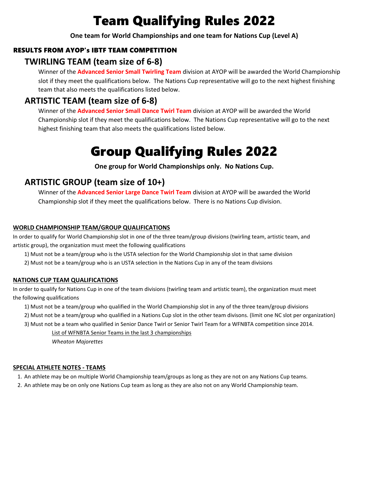## Team Qualifying Rules 2022

**One team for World Championships and one team for Nations Cup (Level A)**

#### RESULTS FROM AYOP's IBTF TEAM COMPETITION

#### **TWIRLING TEAM (team size of 6-8)**

Winner of the **Advanced Senior Small Twirling Team** division at AYOP will be awarded the World Championship slot if they meet the qualifications below. The Nations Cup representative will go to the next highest finishing team that also meets the qualifications listed below.

#### **ARTISTIC TEAM (team size of 6-8)**

Winner of the **Advanced Senior Small Dance Twirl Team** division at AYOP will be awarded the World Championship slot if they meet the qualifications below. The Nations Cup representative will go to the next highest finishing team that also meets the qualifications listed below.

## Group Qualifying Rules 2022

**One group for World Championships only. No Nations Cup.**

#### **ARTISTIC GROUP (team size of 10+)**

Winner of the **Advanced Senior Large Dance Twirl Team** division at AYOP will be awarded the World Championship slot if they meet the qualifications below. There is no Nations Cup division.

#### **WORLD CHAMPIONSHIP TEAM/GROUP QUALIFICATIONS**

In order to qualify for World Championship slot in one of the three team/group divisions (twirling team, artistic team, and artistic group), the organization must meet the following qualifications

- 1) Must not be a team/group who is the USTA selection for the World Championship slot in that same division
- 2) Must not be a team/group who is an USTA selection in the Nations Cup in any of the team divisions

#### **NATIONS CUP TEAM QUALIFICATIONS**

In order to qualify for Nations Cup in one of the team divisions (twirling team and artistic team), the organization must meet the following qualifications

- 1) Must not be a team/group who qualified in the World Championship slot in any of the three team/group divisions
- 2) Must not be a team/group who qualified in a Nations Cup slot in the other team divisons. (limit one NC slot per organization)
- 3) Must not be a team who qualified in Senior Dance Twirl or Senior Twirl Team for a WFNBTA competition since 2014.

List of WFNBTA Senior Teams in the last 3 championships

*Wheaton Majorettes*

#### **SPECIAL ATHLETE NOTES - TEAMS**

- 1. An athlete may be on multiple World Championship team/groups as long as they are not on any Nations Cup teams.
- 2. An athlete may be on only one Nations Cup team as long as they are also not on any World Championship team.